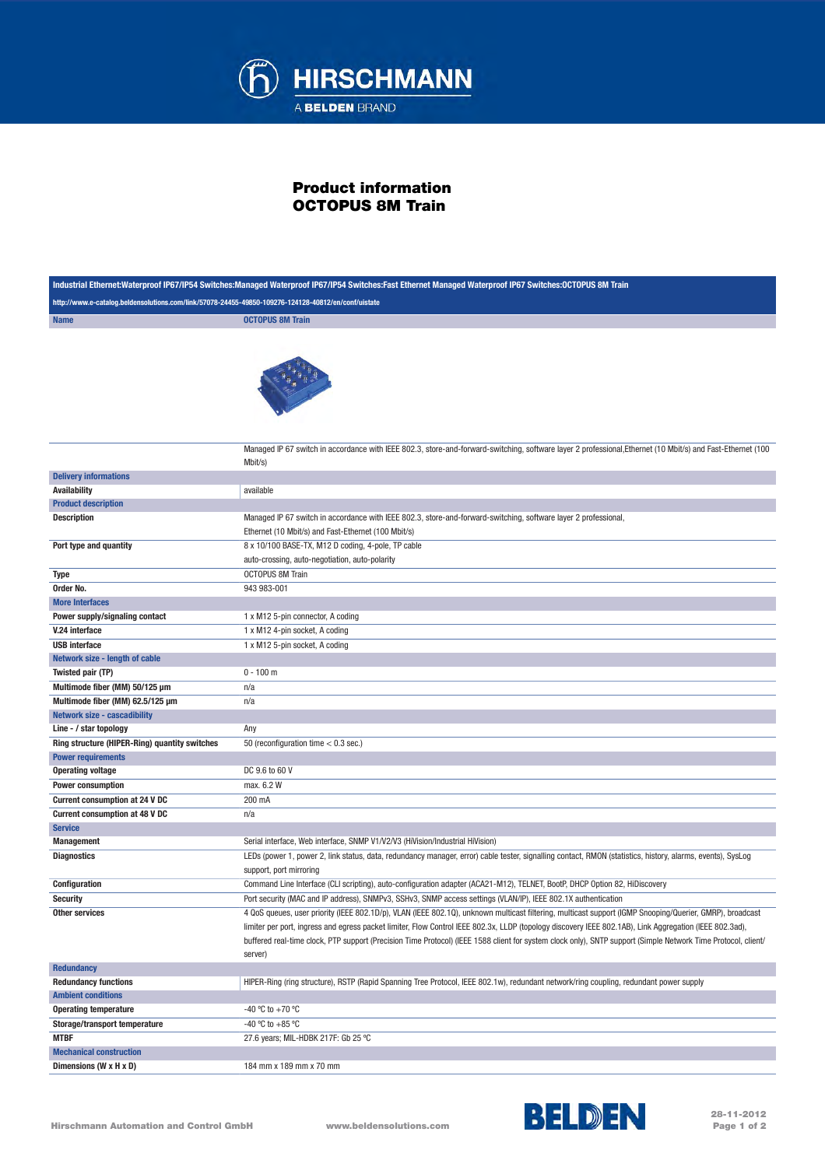

## Product information OCTOPUS 8M Train

| Industrial Ethernet:Waterproof IP67/IP54 Switches:Managed Waterproof IP67/IP54 Switches:Fast Ethernet Managed Waterproof IP67 Switches:OCTOPUS 8M Train |                                                                                                                                                                                                                                                                                                                                                                                                                                                                                                 |  |
|---------------------------------------------------------------------------------------------------------------------------------------------------------|-------------------------------------------------------------------------------------------------------------------------------------------------------------------------------------------------------------------------------------------------------------------------------------------------------------------------------------------------------------------------------------------------------------------------------------------------------------------------------------------------|--|
| http://www.e-catalog.beldensolutions.com/link/57078-24455-49850-109276-124128-40812/en/conf/uistate                                                     |                                                                                                                                                                                                                                                                                                                                                                                                                                                                                                 |  |
| <b>Name</b>                                                                                                                                             | <b>OCTOPUS 8M Train</b>                                                                                                                                                                                                                                                                                                                                                                                                                                                                         |  |
|                                                                                                                                                         |                                                                                                                                                                                                                                                                                                                                                                                                                                                                                                 |  |
|                                                                                                                                                         | Managed IP 67 switch in accordance with IEEE 802.3, store-and-forward-switching, software layer 2 professional, Ethernet (10 Mbit/s) and Fast-Ethernet (100<br>Mbit/s)                                                                                                                                                                                                                                                                                                                          |  |
| <b>Delivery informations</b>                                                                                                                            |                                                                                                                                                                                                                                                                                                                                                                                                                                                                                                 |  |
| <b>Availability</b>                                                                                                                                     | available                                                                                                                                                                                                                                                                                                                                                                                                                                                                                       |  |
| <b>Product description</b>                                                                                                                              |                                                                                                                                                                                                                                                                                                                                                                                                                                                                                                 |  |
| <b>Description</b>                                                                                                                                      | Managed IP 67 switch in accordance with IEEE 802.3, store-and-forward-switching, software layer 2 professional,<br>Ethernet (10 Mbit/s) and Fast-Ethernet (100 Mbit/s)                                                                                                                                                                                                                                                                                                                          |  |
| Port type and quantity                                                                                                                                  | 8 x 10/100 BASE-TX, M12 D coding, 4-pole, TP cable<br>auto-crossing, auto-negotiation, auto-polarity                                                                                                                                                                                                                                                                                                                                                                                            |  |
| Type                                                                                                                                                    | <b>OCTOPUS 8M Train</b>                                                                                                                                                                                                                                                                                                                                                                                                                                                                         |  |
| Order No.                                                                                                                                               | 943 983-001                                                                                                                                                                                                                                                                                                                                                                                                                                                                                     |  |
| <b>More Interfaces</b>                                                                                                                                  |                                                                                                                                                                                                                                                                                                                                                                                                                                                                                                 |  |
| Power supply/signaling contact                                                                                                                          | 1 x M12 5-pin connector, A coding                                                                                                                                                                                                                                                                                                                                                                                                                                                               |  |
| V.24 interface                                                                                                                                          | 1 x M12 4-pin socket, A coding                                                                                                                                                                                                                                                                                                                                                                                                                                                                  |  |
| <b>USB</b> interface                                                                                                                                    | 1 x M12 5-pin socket, A coding                                                                                                                                                                                                                                                                                                                                                                                                                                                                  |  |
| Network size - length of cable                                                                                                                          |                                                                                                                                                                                                                                                                                                                                                                                                                                                                                                 |  |
| Twisted pair (TP)                                                                                                                                       | $0 - 100$ m                                                                                                                                                                                                                                                                                                                                                                                                                                                                                     |  |
| Multimode fiber (MM) 50/125 µm                                                                                                                          | n/a                                                                                                                                                                                                                                                                                                                                                                                                                                                                                             |  |
| Multimode fiber (MM) 62.5/125 µm                                                                                                                        | n/a                                                                                                                                                                                                                                                                                                                                                                                                                                                                                             |  |
| <b>Network size - cascadibility</b>                                                                                                                     |                                                                                                                                                                                                                                                                                                                                                                                                                                                                                                 |  |
| Line - / star topology                                                                                                                                  | Any                                                                                                                                                                                                                                                                                                                                                                                                                                                                                             |  |
| Ring structure (HIPER-Ring) quantity switches                                                                                                           | 50 (reconfiguration time $< 0.3$ sec.)                                                                                                                                                                                                                                                                                                                                                                                                                                                          |  |
| <b>Power requirements</b>                                                                                                                               |                                                                                                                                                                                                                                                                                                                                                                                                                                                                                                 |  |
| <b>Operating voltage</b>                                                                                                                                | DC 9.6 to 60 V                                                                                                                                                                                                                                                                                                                                                                                                                                                                                  |  |
| <b>Power consumption</b>                                                                                                                                | max. 6.2 W                                                                                                                                                                                                                                                                                                                                                                                                                                                                                      |  |
| Current consumption at 24 V DC                                                                                                                          | 200 mA                                                                                                                                                                                                                                                                                                                                                                                                                                                                                          |  |
| <b>Current consumption at 48 V DC</b>                                                                                                                   | n/a                                                                                                                                                                                                                                                                                                                                                                                                                                                                                             |  |
| <b>Service</b>                                                                                                                                          |                                                                                                                                                                                                                                                                                                                                                                                                                                                                                                 |  |
| <b>Management</b>                                                                                                                                       | Serial interface, Web interface, SNMP V1/V2/V3 (HiVision/Industrial HiVision)                                                                                                                                                                                                                                                                                                                                                                                                                   |  |
| <b>Diagnostics</b>                                                                                                                                      | LEDs (power 1, power 2, link status, data, redundancy manager, error) cable tester, signalling contact, RMON (statistics, history, alarms, events), SysLog<br>support, port mirroring                                                                                                                                                                                                                                                                                                           |  |
| <b>Configuration</b>                                                                                                                                    | Command Line Interface (CLI scripting), auto-configuration adapter (ACA21-M12), TELNET, BootP, DHCP Option 82, HiDiscovery                                                                                                                                                                                                                                                                                                                                                                      |  |
| <b>Security</b>                                                                                                                                         | Port security (MAC and IP address), SNMPv3, SSHv3, SNMP access settings (VLAN/IP), IEEE 802.1X authentication                                                                                                                                                                                                                                                                                                                                                                                   |  |
| <b>Other services</b>                                                                                                                                   | 4 QoS queues, user priority (IEEE 802.1D/p), VLAN (IEEE 802.1Q), unknown multicast filtering, multicast support (IGMP Snooping/Querier, GMRP), broadcast<br>limiter per port, ingress and egress packet limiter, Flow Control IEEE 802.3x, LLDP (topology discovery IEEE 802.1AB), Link Aggregation (IEEE 802.3ad),<br>buffered real-time clock, PTP support (Precision Time Protocol) (IEEE 1588 client for system clock only), SNTP support (Simple Network Time Protocol, client/<br>server) |  |
| <b>Redundancy</b>                                                                                                                                       |                                                                                                                                                                                                                                                                                                                                                                                                                                                                                                 |  |
| <b>Redundancy functions</b>                                                                                                                             | HIPER-Ring (ring structure), RSTP (Rapid Spanning Tree Protocol, IEEE 802.1w), redundant network/ring coupling, redundant power supply                                                                                                                                                                                                                                                                                                                                                          |  |
| <b>Ambient conditions</b>                                                                                                                               |                                                                                                                                                                                                                                                                                                                                                                                                                                                                                                 |  |
| <b>Operating temperature</b>                                                                                                                            | -40 °C to +70 °C                                                                                                                                                                                                                                                                                                                                                                                                                                                                                |  |
| Storage/transport temperature                                                                                                                           | -40 °C to +85 °C                                                                                                                                                                                                                                                                                                                                                                                                                                                                                |  |
| <b>MTBF</b>                                                                                                                                             | 27.6 years; MIL-HDBK 217F: Gb 25 °C                                                                                                                                                                                                                                                                                                                                                                                                                                                             |  |
| <b>Mechanical construction</b>                                                                                                                          |                                                                                                                                                                                                                                                                                                                                                                                                                                                                                                 |  |
| Dimensions (W x H x D)                                                                                                                                  | 184 mm x 189 mm x 70 mm                                                                                                                                                                                                                                                                                                                                                                                                                                                                         |  |